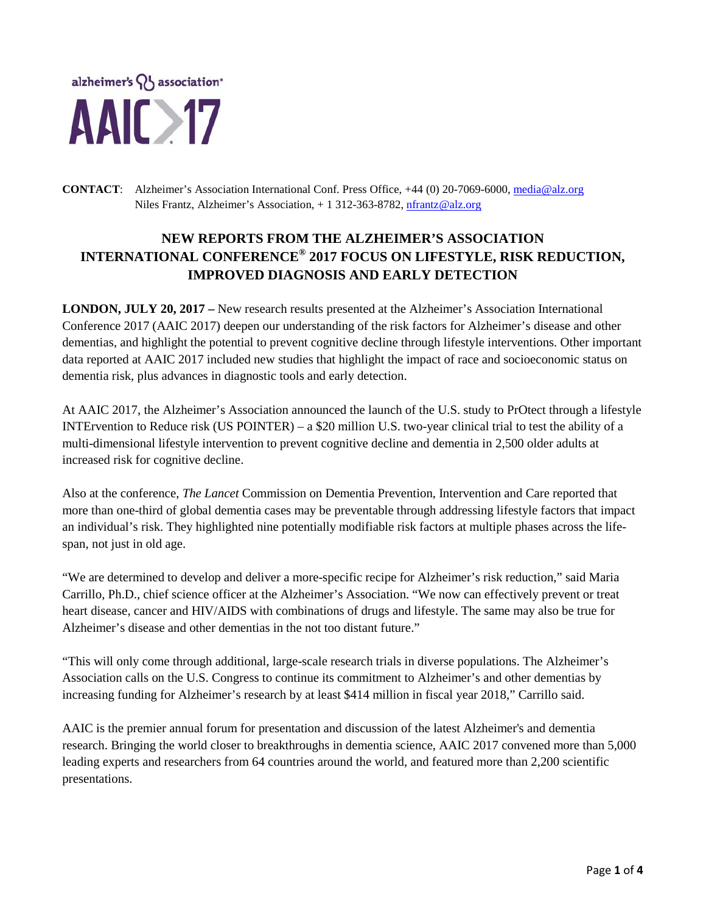

**CONTACT**: Alzheimer's Association International Conf. Press Office, +44 (0) 20-7069-6000, [media@alz.org](mailto:media@alz.org) Niles Frantz, Alzheimer's Association, + 1 312-363-8782[, nfrantz@alz.org](mailto:nfrantz@alz.org)

# **NEW REPORTS FROM THE ALZHEIMER'S ASSOCIATION INTERNATIONAL CONFERENCE® 2017 FOCUS ON LIFESTYLE, RISK REDUCTION, IMPROVED DIAGNOSIS AND EARLY DETECTION**

**LONDON, JULY 20, 2017 –** New research results presented at the Alzheimer's Association International Conference 2017 (AAIC 2017) deepen our understanding of the risk factors for Alzheimer's disease and other dementias, and highlight the potential to prevent cognitive decline through lifestyle interventions. Other important data reported at AAIC 2017 included new studies that highlight the impact of race and socioeconomic status on dementia risk, plus advances in diagnostic tools and early detection.

At AAIC 2017, the Alzheimer's Association announced the launch of the U.S. study to PrOtect through a lifestyle INTErvention to Reduce risk (US POINTER) – a \$20 million U.S. two-year clinical trial to test the ability of a multi-dimensional lifestyle intervention to prevent cognitive decline and dementia in 2,500 older adults at increased risk for cognitive decline.

Also at the conference, *The Lancet* Commission on Dementia Prevention, Intervention and Care reported that more than one-third of global dementia cases may be preventable through addressing lifestyle factors that impact an individual's risk. They highlighted nine potentially modifiable risk factors at multiple phases across the lifespan, not just in old age.

"We are determined to develop and deliver a more-specific recipe for Alzheimer's risk reduction," said Maria Carrillo, Ph.D., chief science officer at the Alzheimer's Association. "We now can effectively prevent or treat heart disease, cancer and HIV/AIDS with combinations of drugs and lifestyle. The same may also be true for Alzheimer's disease and other dementias in the not too distant future."

"This will only come through additional, large-scale research trials in diverse populations. The Alzheimer's Association calls on the U.S. Congress to continue its commitment to Alzheimer's and other dementias by increasing funding for Alzheimer's research by at least \$414 million in fiscal year 2018," Carrillo said.

AAIC is the premier annual forum for presentation and discussion of the latest Alzheimer's and dementia research. Bringing the world closer to breakthroughs in dementia science, AAIC 2017 convened more than 5,000 leading experts and researchers from 64 countries around the world, and featured more than 2,200 scientific presentations.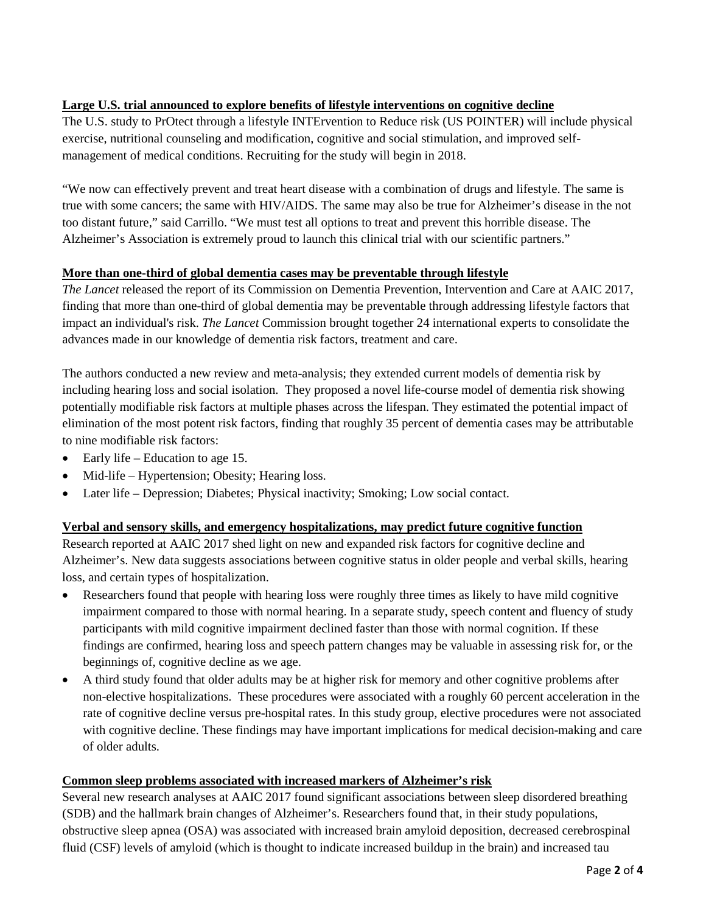# **Large U.S. trial announced to explore benefits of lifestyle interventions on cognitive decline**

The U.S. study to PrOtect through a lifestyle INTErvention to Reduce risk (US POINTER) will include physical exercise, nutritional counseling and modification, cognitive and social stimulation, and improved selfmanagement of medical conditions. Recruiting for the study will begin in 2018.

"We now can effectively prevent and treat heart disease with a combination of drugs and lifestyle. The same is true with some cancers; the same with HIV/AIDS. The same may also be true for Alzheimer's disease in the not too distant future," said Carrillo. "We must test all options to treat and prevent this horrible disease. The Alzheimer's Association is extremely proud to launch this clinical trial with our scientific partners."

## **More than one-third of global dementia cases may be preventable through lifestyle**

*The Lancet* released the report of its Commission on Dementia Prevention, Intervention and Care at AAIC 2017, finding that more than one-third of global dementia may be preventable through addressing lifestyle factors that impact an individual's risk. *The Lancet* Commission brought together 24 international experts to consolidate the advances made in our knowledge of dementia risk factors, treatment and care.

The authors conducted a new review and meta-analysis; they extended current models of dementia risk by including hearing loss and social isolation. They proposed a novel life-course model of dementia risk showing potentially modifiable risk factors at multiple phases across the lifespan. They estimated the potential impact of elimination of the most potent risk factors, finding that roughly 35 percent of dementia cases may be attributable to nine modifiable risk factors:

- Early life Education to age 15.
- Mid-life Hypertension; Obesity; Hearing loss.
- Later life Depression; Diabetes; Physical inactivity; Smoking; Low social contact.

#### **Verbal and sensory skills, and emergency hospitalizations, may predict future cognitive function**

Research reported at AAIC 2017 shed light on new and expanded risk factors for cognitive decline and Alzheimer's. New data suggests associations between cognitive status in older people and verbal skills, hearing loss, and certain types of hospitalization.

- Researchers found that people with hearing loss were roughly three times as likely to have mild cognitive impairment compared to those with normal hearing. In a separate study, speech content and fluency of study participants with mild cognitive impairment declined faster than those with normal cognition. If these findings are confirmed, hearing loss and speech pattern changes may be valuable in assessing risk for, or the beginnings of, cognitive decline as we age.
- A third study found that older adults may be at higher risk for memory and other cognitive problems after non-elective hospitalizations. These procedures were associated with a roughly 60 percent acceleration in the rate of cognitive decline versus pre-hospital rates. In this study group, elective procedures were not associated with cognitive decline. These findings may have important implications for medical decision-making and care of older adults.

#### **Common sleep problems associated with increased markers of Alzheimer's risk**

Several new research analyses at AAIC 2017 found significant associations between sleep disordered breathing (SDB) and the hallmark brain changes of Alzheimer's. Researchers found that, in their study populations, obstructive sleep apnea (OSA) was associated with increased brain amyloid deposition, decreased cerebrospinal fluid (CSF) levels of amyloid (which is thought to indicate increased buildup in the brain) and increased tau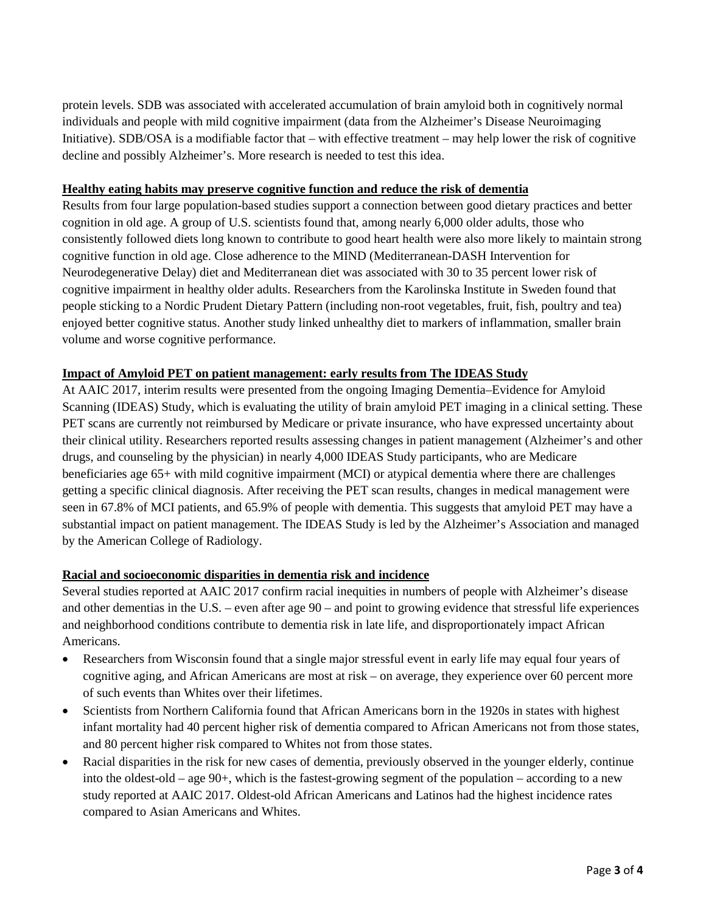protein levels. SDB was associated with accelerated accumulation of brain amyloid both in cognitively normal individuals and people with mild cognitive impairment (data from the Alzheimer's Disease Neuroimaging Initiative). SDB/OSA is a modifiable factor that – with effective treatment – may help lower the risk of cognitive decline and possibly Alzheimer's. More research is needed to test this idea.

#### **Healthy eating habits may preserve cognitive function and reduce the risk of dementia**

Results from four large population-based studies support a connection between good dietary practices and better cognition in old age. A group of U.S. scientists found that, among nearly 6,000 older adults, those who consistently followed diets long known to contribute to good heart health were also more likely to maintain strong cognitive function in old age. Close adherence to the MIND (Mediterranean-DASH Intervention for Neurodegenerative Delay) diet and Mediterranean diet was associated with 30 to 35 percent lower risk of cognitive impairment in healthy older adults. Researchers from the Karolinska Institute in Sweden found that people sticking to a Nordic Prudent Dietary Pattern (including non-root vegetables, fruit, fish, poultry and tea) enjoyed better cognitive status. Another study linked unhealthy diet to markers of inflammation, smaller brain volume and worse cognitive performance.

## **Impact of Amyloid PET on patient management: early results from The IDEAS Study**

At AAIC 2017, interim results were presented from the ongoing Imaging Dementia–Evidence for Amyloid Scanning (IDEAS) Study, which is evaluating the utility of brain amyloid PET imaging in a clinical setting. These PET scans are currently not reimbursed by Medicare or private insurance, who have expressed uncertainty about their clinical utility. Researchers reported results assessing changes in patient management (Alzheimer's and other drugs, and counseling by the physician) in nearly 4,000 IDEAS Study participants, who are Medicare beneficiaries age 65+ with mild cognitive impairment (MCI) or atypical dementia where there are challenges getting a specific clinical diagnosis. After receiving the PET scan results, changes in medical management were seen in 67.8% of MCI patients, and 65.9% of people with dementia. This suggests that amyloid PET may have a substantial impact on patient management. The IDEAS Study is led by the Alzheimer's Association and managed by the American College of Radiology.

## **Racial and socioeconomic disparities in dementia risk and incidence**

Several studies reported at AAIC 2017 confirm racial inequities in numbers of people with Alzheimer's disease and other dementias in the U.S. – even after age 90 – and point to growing evidence that stressful life experiences and neighborhood conditions contribute to dementia risk in late life, and disproportionately impact African Americans.

- Researchers from Wisconsin found that a single major stressful event in early life may equal four years of cognitive aging, and African Americans are most at risk – on average, they experience over 60 percent more of such events than Whites over their lifetimes.
- Scientists from Northern California found that African Americans born in the 1920s in states with highest infant mortality had 40 percent higher risk of dementia compared to African Americans not from those states, and 80 percent higher risk compared to Whites not from those states.
- Racial disparities in the risk for new cases of dementia, previously observed in the younger elderly, continue into the oldest-old – age 90+, which is the fastest-growing segment of the population – according to a new study reported at AAIC 2017. Oldest-old African Americans and Latinos had the highest incidence rates compared to Asian Americans and Whites.